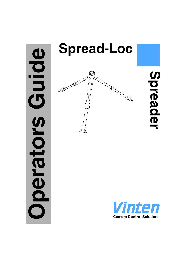# **Oping Operators Guide** perators



# **Spreader**

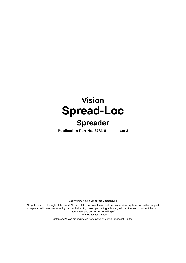# **Vision Spread-Loc**

# **Spreader**

**Publication Part No. 3781-8 Issue 3**

Copyright © Vinten Broadcast Limited 2004

All rights reserved throughout the world. No part of this document may be stored in a retrieval system, transmitted, copied or reproduced in any way including, but not limited to, photocopy, photograph, magnetic or other record without the prior agreement and permission in writing of Vinten Broadcast Limited.

Vinten and Vision are registered trademarks of Vinten Broadcast Limited.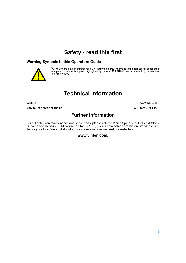## **Safety - read this first**

### <span id="page-2-1"></span>**Warning Symbols in this Operators Guide**



Where there is a risk of personal injury, injury to others, or damage to the spreader or associated equipment, comments appear, highlighted by the word **WARNING!** and supported by the warning triangle symbol.

# **Technical information**

<span id="page-2-0"></span>

<span id="page-2-2"></span>Maximum spreader radius 485 mm (19.1 in.)

Weight 0.95 kg (2 lb)

**Further information**

For full details on maintenance and spare parts, please refer to Vision Spreaders, Dollies & Skids - Spares and Repairs (Publication Part No. 3313-9) This is obtainable from Vinten Broadcast Limited or your local Vinten distributor. For information on-line, visit our website at

**www.vinten.com.**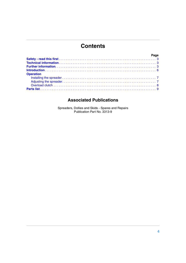### **Contents**

| <b>Operation</b> |  |
|------------------|--|
|                  |  |
|                  |  |
|                  |  |
|                  |  |

### **Associated Publications**

Spreaders, Dollies and Skids - Spares and Repairs Publication Part No. 3313-9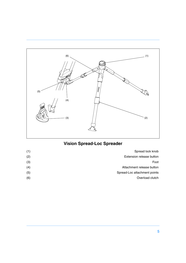<span id="page-4-1"></span>

# <span id="page-4-4"></span><span id="page-4-3"></span><span id="page-4-2"></span><span id="page-4-0"></span>**Vision Spread-Loc Spreader**

| Spread lock knob             | (1) |
|------------------------------|-----|
| Extension release button     | (2) |
| Foot                         | (3) |
| Attachment release button    | (4) |
| Spread-Loc attachment points | (5) |
| Overload clutch              | (6) |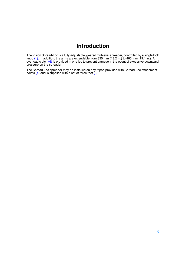### **Introduction**

<span id="page-5-0"></span>The Vision Spread-Loc is a fully-adjustable, geared mid-level spreader, controlled by a single lock knob [\(1\).](#page-4-0) In addition, the arms are extendable from 335 mm (13.2 in.) to 485 mm (19.1 in.). An overload clutch [\(6\)](#page-4-1) is provided in one leg to prevent damage in the event of excessive downward pressure on the spreader.

The Spread-Loc spreader may be installed on any tripod provided with Spread-Loc attachment points [\(4\)](#page-4-2) and is supplied with a set of three feet [\(3\)](#page-4-3).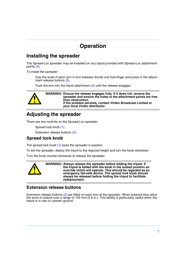# **Operation**

### <span id="page-6-1"></span><span id="page-6-0"></span>**Installing the spreader**

The Spread-Loc spreader may be installed on any tripod provided with Spread-Loc attachment points [\(4\).](#page-4-2)

To install the spreader:

Grip the ends of each arm in turn between thumb and fore-finger and press in the attachment release buttons [\(3\).](#page-4-3)

Push the arm into the tripod attachment [\(4\)](#page-4-2) until the release engages.



**WARNING! Ensure the release engages fully. If it does not, remove the spreader and ensure the holes in the attachment points are free from obstruction. If the problem persists, contact Vinten Broadcast Limited or your local Vinten distributor.**

### <span id="page-6-2"></span>**Adjusting the spreader**

There are two controls on the Spread-Loc spreader:

Spread lock knob [\(1\)](#page-4-0).

Extension release buttons [\(2\)](#page-4-4).

### **Spread lock knob**

The spread lock knob [\(1\)](#page-4-0) locks the spreader in position.

To set the spreader, deploy the tripod to the required height and turn the knob clockwise.

Turn the knob counter-clockwise to release the spreader.



**WARNING! Always release the spreader before folding the tripod. If the tripod is folded with the knob in the locked position an override clutch will operate. This should be regarded as an emergency fail-safe device. The spread lock knob should always be released before folding the tripod to facilitate redeployment.**

### **Extension release buttons**

Extension release buttons [\(2\)](#page-4-4) are fitted on each arm of the spreader. When pressed they allow the arms to extend over a range of 150 mm (5.9 in.). This facility is particularly useful when the tripod is in use on uneven ground.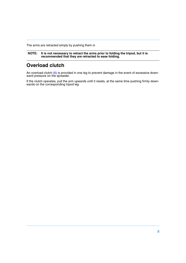The arms are retracted simply by pushing them in

**NOTE: It is not necessary to retract the arms prior to folding the tripod, but it is recommended that they are retracted to ease folding.**

### <span id="page-7-0"></span>**Overload clutch**

An overload clutch [\(6\)](#page-4-1) is provided in one leg to prevent damage in the event of excessive downward pressure on the spreader.

If the clutch operates, pull the arm upwards until it resets, at the same time pushing firmly downwards on the corresponding tripod leg